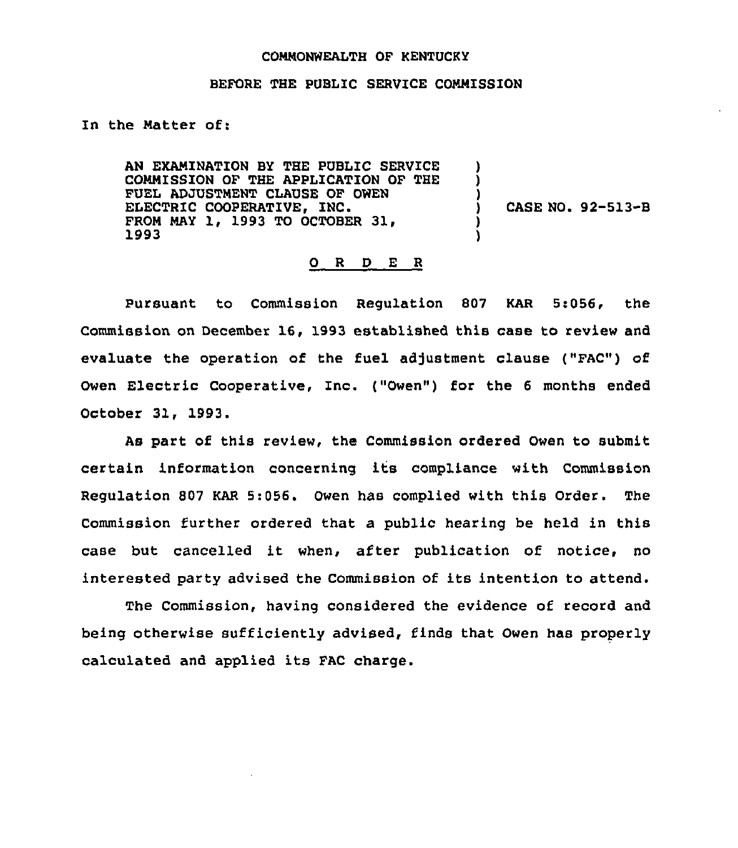## COMMONWEALTH OF KENTUCKY

## BEFORE THE PUBLIC SERVICE COMMISSION

## In the Matter of:

AN EXAMINATION BY THE PUBLIC SERVICE COMMISSION OF THE APPLICATION OF THE FUEL ADJUSTMENT CLAUSE OF OWEN ELECTRIC COOPERATIVE, INC. FROM MAY 1, 1993 TO OCTOBER 31, 1993

) CASE NO. 92-513-B

) ) )

> ) )

## 0 R <sup>D</sup> E R

Pursuant to Commission Regulation 807 KAR 5:056, the Commission on December 16, 1993 established this case to review and evaluate the operation of the fuel adjustment clause ("FAC") of Owen Electric Cooperative, Inc. ("Owen") for the 6 months ended October 31, 1993.

As part of this review, the Commission ordered Owen to submit certain information concerning its compliance with Commission Regulation 807 KAR 5:056. Owen has complied with this Order. The Commission further ordered that a public hearing be held in this case but cancelled it when, after publication of notice, no interested party advised the Commission of its intention to attend.

The Commission, having considered the evidence of record and being otherwise sufficiently advised, finds that Owen has properly calculated and applied its FAC charge.